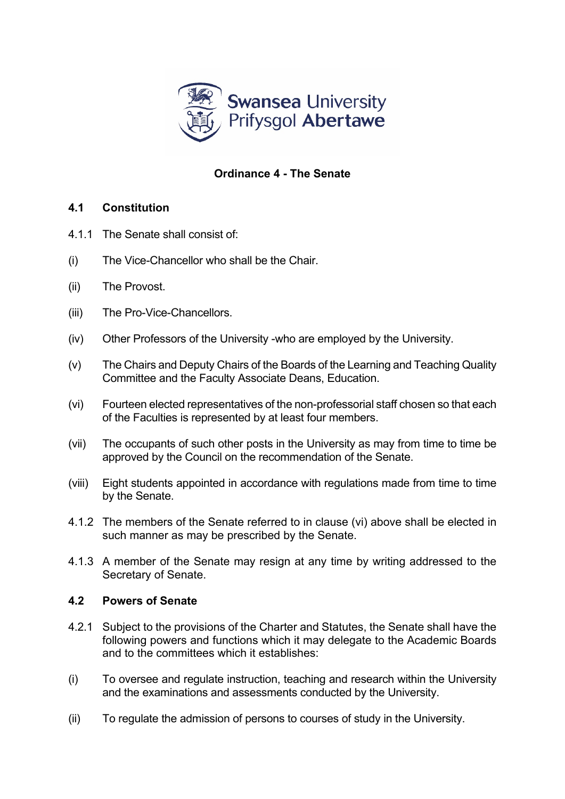

## **Ordinance 4 - The Senate**

## **4.1 Constitution**

- 4.1.1 The Senate shall consist of:
- (i) The Vice-Chancellor who shall be the Chair.
- (ii) The Provost.
- (iii) The Pro-Vice-Chancellors.
- (iv) Other Professors of the University -who are employed by the University.
- (v) The Chairs and Deputy Chairs of the Boards of the Learning and Teaching Quality Committee and the Faculty Associate Deans, Education.
- (vi) Fourteen elected representatives of the non-professorial staff chosen so that each of the Faculties is represented by at least four members.
- (vii) The occupants of such other posts in the University as may from time to time be approved by the Council on the recommendation of the Senate.
- (viii) Eight students appointed in accordance with regulations made from time to time by the Senate.
- 4.1.2 The members of the Senate referred to in clause (vi) above shall be elected in such manner as may be prescribed by the Senate.
- 4.1.3 A member of the Senate may resign at any time by writing addressed to the Secretary of Senate.

## **4.2 Powers of Senate**

- 4.2.1 Subject to the provisions of the Charter and Statutes, the Senate shall have the following powers and functions which it may delegate to the Academic Boards and to the committees which it establishes:
- (i) To oversee and regulate instruction, teaching and research within the University and the examinations and assessments conducted by the University.
- (ii) To regulate the admission of persons to courses of study in the University.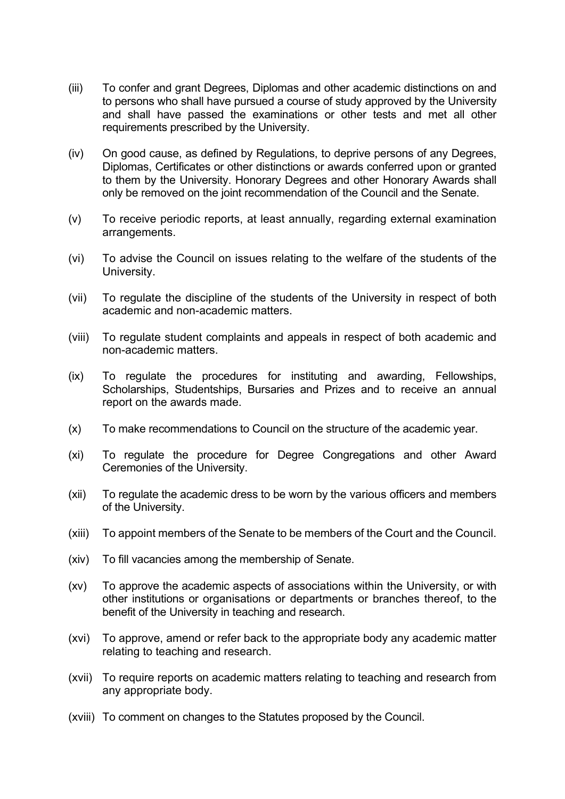- (iii) To confer and grant Degrees, Diplomas and other academic distinctions on and to persons who shall have pursued a course of study approved by the University and shall have passed the examinations or other tests and met all other requirements prescribed by the University.
- (iv) On good cause, as defined by Regulations, to deprive persons of any Degrees, Diplomas, Certificates or other distinctions or awards conferred upon or granted to them by the University. Honorary Degrees and other Honorary Awards shall only be removed on the joint recommendation of the Council and the Senate.
- (v) To receive periodic reports, at least annually, regarding external examination arrangements.
- (vi) To advise the Council on issues relating to the welfare of the students of the University.
- (vii) To regulate the discipline of the students of the University in respect of both academic and non-academic matters.
- (viii) To regulate student complaints and appeals in respect of both academic and non-academic matters.
- (ix) To regulate the procedures for instituting and awarding, Fellowships, Scholarships, Studentships, Bursaries and Prizes and to receive an annual report on the awards made.
- (x) To make recommendations to Council on the structure of the academic year.
- (xi) To regulate the procedure for Degree Congregations and other Award Ceremonies of the University.
- (xii) To regulate the academic dress to be worn by the various officers and members of the University.
- (xiii) To appoint members of the Senate to be members of the Court and the Council.
- (xiv) To fill vacancies among the membership of Senate.
- (xv) To approve the academic aspects of associations within the University, or with other institutions or organisations or departments or branches thereof, to the benefit of the University in teaching and research.
- (xvi) To approve, amend or refer back to the appropriate body any academic matter relating to teaching and research.
- (xvii) To require reports on academic matters relating to teaching and research from any appropriate body.
- (xviii) To comment on changes to the Statutes proposed by the Council.